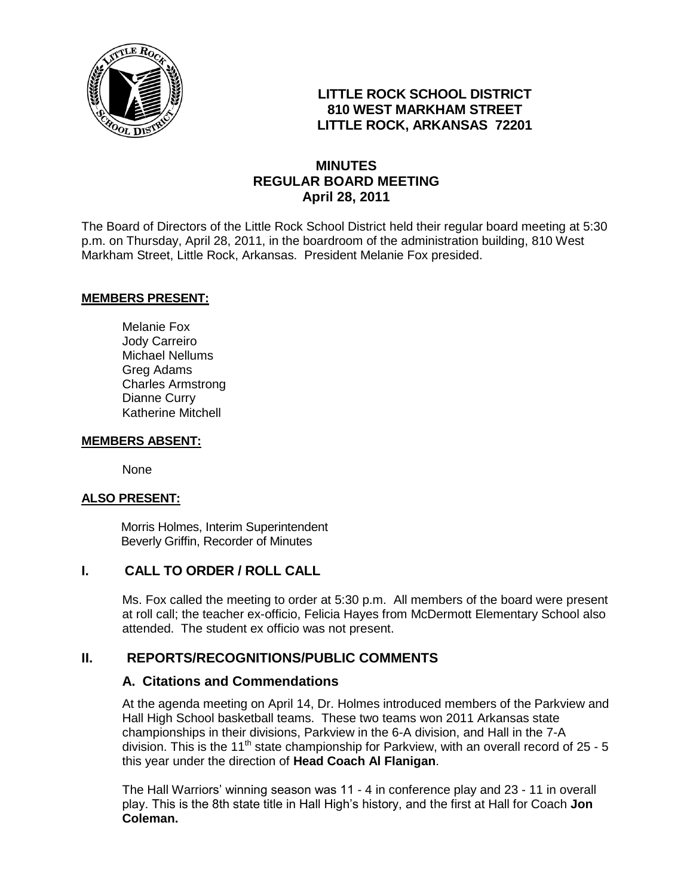

# **LITTLE ROCK SCHOOL DISTRICT 810 WEST MARKHAM STREET LITTLE ROCK, ARKANSAS 72201**

# **MINUTES REGULAR BOARD MEETING April 28, 2011**

The Board of Directors of the Little Rock School District held their regular board meeting at 5:30 p.m. on Thursday, April 28, 2011, in the boardroom of the administration building, 810 West Markham Street, Little Rock, Arkansas. President Melanie Fox presided.

#### **MEMBERS PRESENT:**

Melanie Fox Jody Carreiro Michael Nellums Greg Adams Charles Armstrong Dianne Curry Katherine Mitchell

#### **MEMBERS ABSENT:**

None

#### **ALSO PRESENT:**

 Morris Holmes, Interim Superintendent Beverly Griffin, Recorder of Minutes

#### **I. CALL TO ORDER / ROLL CALL**

Ms. Fox called the meeting to order at 5:30 p.m. All members of the board were present at roll call; the teacher ex-officio, Felicia Hayes from McDermott Elementary School also attended. The student ex officio was not present.

# **II. REPORTS/RECOGNITIONS/PUBLIC COMMENTS**

#### **A. Citations and Commendations**

At the agenda meeting on April 14, Dr. Holmes introduced members of the Parkview and Hall High School basketball teams.These two teams won 2011 Arkansas state championships in their divisions, Parkview in the 6-A division, and Hall in the 7-A division. This is the 11<sup>th</sup> state championship for Parkview, with an overall record of 25 - 5 this year under the direction of **Head Coach Al Flanigan**.

The Hall Warriors' winning season was 11 - 4 in conference play and 23 - 11 in overall play. This is the 8th state title in Hall High's history, and the first at Hall for Coach **Jon Coleman.**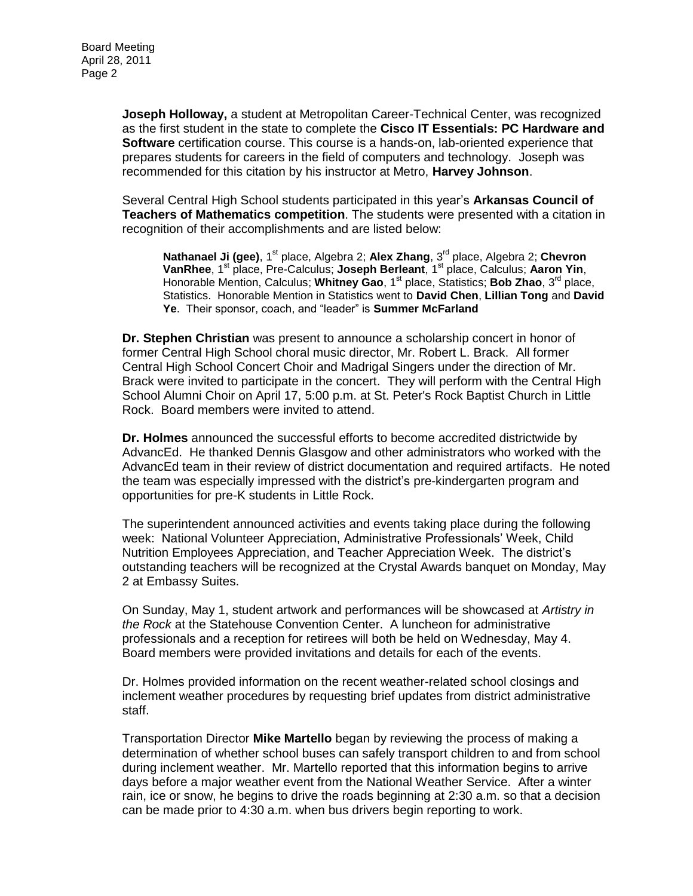**Joseph Holloway,** a student at Metropolitan Career-Technical Center, was recognized as the first student in the state to complete the **Cisco IT Essentials: PC Hardware and Software** certification course. This course is a hands-on, lab-oriented experience that prepares students for careers in the field of computers and technology. Joseph was recommended for this citation by his instructor at Metro, **Harvey Johnson**.

Several Central High School students participated in this year's **Arkansas Council of Teachers of Mathematics competition**. The students were presented with a citation in recognition of their accomplishments and are listed below:

**Nathanael Ji (gee)**, 1<sup>st</sup> place, Algebra 2; Alex Zhang, 3<sup>rd</sup> place, Algebra 2; Chevron **VanRhee**, 1st place, Pre-Calculus; **Joseph Berleant**, 1st place, Calculus; **Aaron Yin**, Honorable Mention, Calculus; Whitney Gao, 1<sup>st</sup> place, Statistics; Bob Zhao, 3<sup>rd</sup> place, Statistics. Honorable Mention in Statistics went to **David Chen**, **Lillian Tong** and **David Ye**. Their sponsor, coach, and "leader" is **Summer McFarland**

**Dr. Stephen Christian** was present to announce a scholarship concert in honor of former Central High School choral music director, Mr. Robert L. Brack. All former Central High School Concert Choir and Madrigal Singers under the direction of Mr. Brack were invited to participate in the concert. They will perform with the Central High School Alumni Choir on April 17, 5:00 p.m. at St. Peter's Rock Baptist Church in Little Rock. Board members were invited to attend.

**Dr. Holmes** announced the successful efforts to become accredited districtwide by AdvancEd. He thanked Dennis Glasgow and other administrators who worked with the AdvancEd team in their review of district documentation and required artifacts. He noted the team was especially impressed with the district's pre-kindergarten program and opportunities for pre-K students in Little Rock.

The superintendent announced activities and events taking place during the following week: National Volunteer Appreciation, Administrative Professionals' Week, Child Nutrition Employees Appreciation, and Teacher Appreciation Week. The district's outstanding teachers will be recognized at the Crystal Awards banquet on Monday, May 2 at Embassy Suites.

On Sunday, May 1, student artwork and performances will be showcased at *Artistry in the Rock* at the Statehouse Convention Center. A luncheon for administrative professionals and a reception for retirees will both be held on Wednesday, May 4. Board members were provided invitations and details for each of the events.

Dr. Holmes provided information on the recent weather-related school closings and inclement weather procedures by requesting brief updates from district administrative staff.

Transportation Director **Mike Martello** began by reviewing the process of making a determination of whether school buses can safely transport children to and from school during inclement weather. Mr. Martello reported that this information begins to arrive days before a major weather event from the National Weather Service. After a winter rain, ice or snow, he begins to drive the roads beginning at 2:30 a.m. so that a decision can be made prior to 4:30 a.m. when bus drivers begin reporting to work.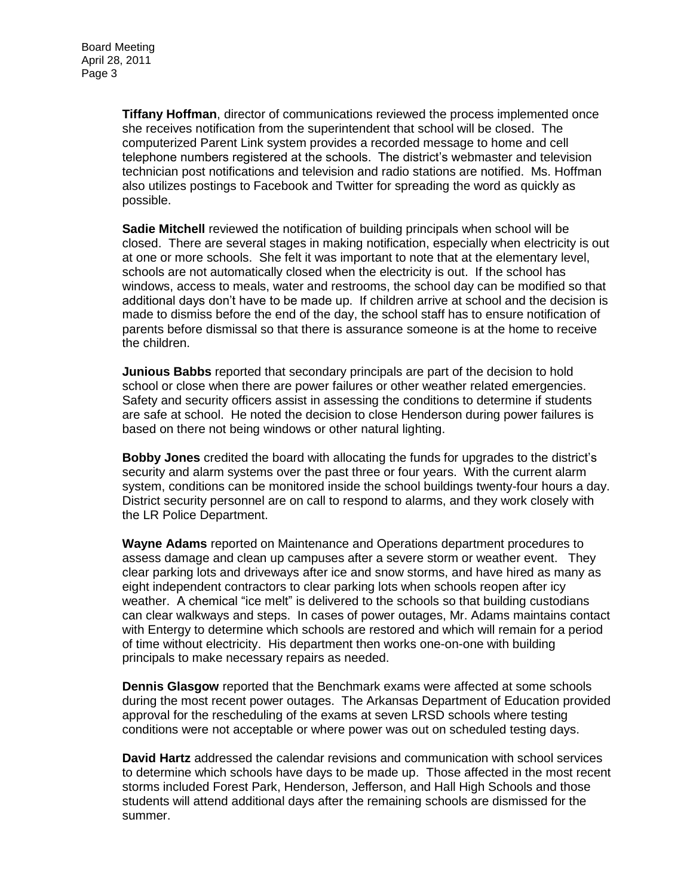**Tiffany Hoffman**, director of communications reviewed the process implemented once she receives notification from the superintendent that school will be closed. The computerized Parent Link system provides a recorded message to home and cell telephone numbers registered at the schools. The district's webmaster and television technician post notifications and television and radio stations are notified. Ms. Hoffman also utilizes postings to Facebook and Twitter for spreading the word as quickly as possible.

**Sadie Mitchell** reviewed the notification of building principals when school will be closed. There are several stages in making notification, especially when electricity is out at one or more schools. She felt it was important to note that at the elementary level, schools are not automatically closed when the electricity is out. If the school has windows, access to meals, water and restrooms, the school day can be modified so that additional days don't have to be made up. If children arrive at school and the decision is made to dismiss before the end of the day, the school staff has to ensure notification of parents before dismissal so that there is assurance someone is at the home to receive the children.

**Junious Babbs** reported that secondary principals are part of the decision to hold school or close when there are power failures or other weather related emergencies. Safety and security officers assist in assessing the conditions to determine if students are safe at school. He noted the decision to close Henderson during power failures is based on there not being windows or other natural lighting.

**Bobby Jones** credited the board with allocating the funds for upgrades to the district's security and alarm systems over the past three or four years. With the current alarm system, conditions can be monitored inside the school buildings twenty-four hours a day. District security personnel are on call to respond to alarms, and they work closely with the LR Police Department.

**Wayne Adams** reported on Maintenance and Operations department procedures to assess damage and clean up campuses after a severe storm or weather event. They clear parking lots and driveways after ice and snow storms, and have hired as many as eight independent contractors to clear parking lots when schools reopen after icy weather. A chemical "ice melt" is delivered to the schools so that building custodians can clear walkways and steps. In cases of power outages, Mr. Adams maintains contact with Entergy to determine which schools are restored and which will remain for a period of time without electricity. His department then works one-on-one with building principals to make necessary repairs as needed.

**Dennis Glasgow** reported that the Benchmark exams were affected at some schools during the most recent power outages. The Arkansas Department of Education provided approval for the rescheduling of the exams at seven LRSD schools where testing conditions were not acceptable or where power was out on scheduled testing days.

**David Hartz** addressed the calendar revisions and communication with school services to determine which schools have days to be made up. Those affected in the most recent storms included Forest Park, Henderson, Jefferson, and Hall High Schools and those students will attend additional days after the remaining schools are dismissed for the summer.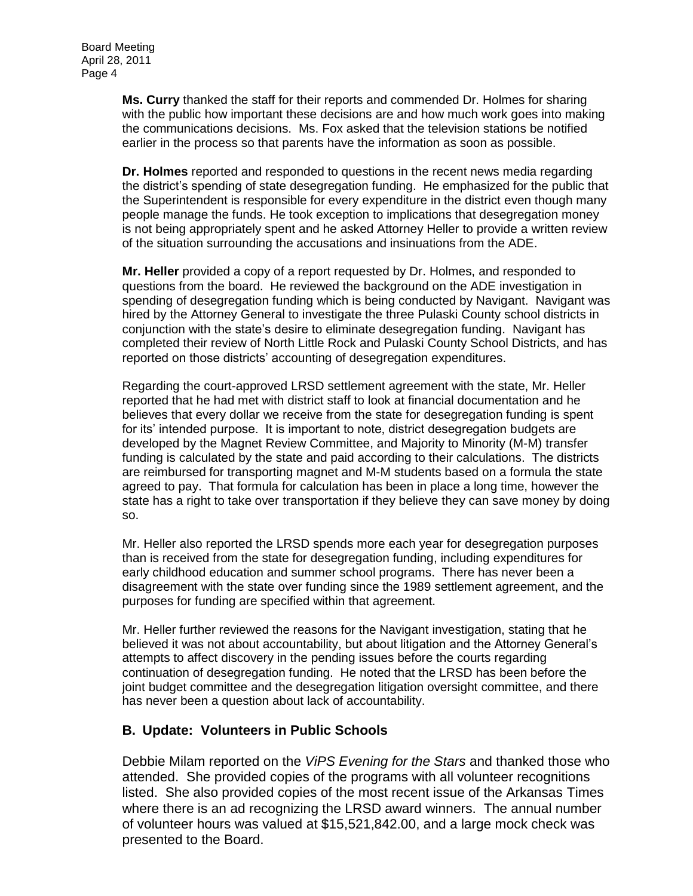**Ms. Curry** thanked the staff for their reports and commended Dr. Holmes for sharing with the public how important these decisions are and how much work goes into making the communications decisions. Ms. Fox asked that the television stations be notified earlier in the process so that parents have the information as soon as possible.

**Dr. Holmes** reported and responded to questions in the recent news media regarding the district's spending of state desegregation funding. He emphasized for the public that the Superintendent is responsible for every expenditure in the district even though many people manage the funds. He took exception to implications that desegregation money is not being appropriately spent and he asked Attorney Heller to provide a written review of the situation surrounding the accusations and insinuations from the ADE.

**Mr. Heller** provided a copy of a report requested by Dr. Holmes, and responded to questions from the board. He reviewed the background on the ADE investigation in spending of desegregation funding which is being conducted by Navigant. Navigant was hired by the Attorney General to investigate the three Pulaski County school districts in conjunction with the state's desire to eliminate desegregation funding. Navigant has completed their review of North Little Rock and Pulaski County School Districts, and has reported on those districts' accounting of desegregation expenditures.

Regarding the court-approved LRSD settlement agreement with the state, Mr. Heller reported that he had met with district staff to look at financial documentation and he believes that every dollar we receive from the state for desegregation funding is spent for its' intended purpose. It is important to note, district desegregation budgets are developed by the Magnet Review Committee, and Majority to Minority (M-M) transfer funding is calculated by the state and paid according to their calculations. The districts are reimbursed for transporting magnet and M-M students based on a formula the state agreed to pay. That formula for calculation has been in place a long time, however the state has a right to take over transportation if they believe they can save money by doing so.

Mr. Heller also reported the LRSD spends more each year for desegregation purposes than is received from the state for desegregation funding, including expenditures for early childhood education and summer school programs. There has never been a disagreement with the state over funding since the 1989 settlement agreement, and the purposes for funding are specified within that agreement.

Mr. Heller further reviewed the reasons for the Navigant investigation, stating that he believed it was not about accountability, but about litigation and the Attorney General's attempts to affect discovery in the pending issues before the courts regarding continuation of desegregation funding. He noted that the LRSD has been before the joint budget committee and the desegregation litigation oversight committee, and there has never been a question about lack of accountability.

# **B. Update: Volunteers in Public Schools**

Debbie Milam reported on the *ViPS Evening for the Stars* and thanked those who attended. She provided copies of the programs with all volunteer recognitions listed. She also provided copies of the most recent issue of the Arkansas Times where there is an ad recognizing the LRSD award winners. The annual number of volunteer hours was valued at \$15,521,842.00, and a large mock check was presented to the Board.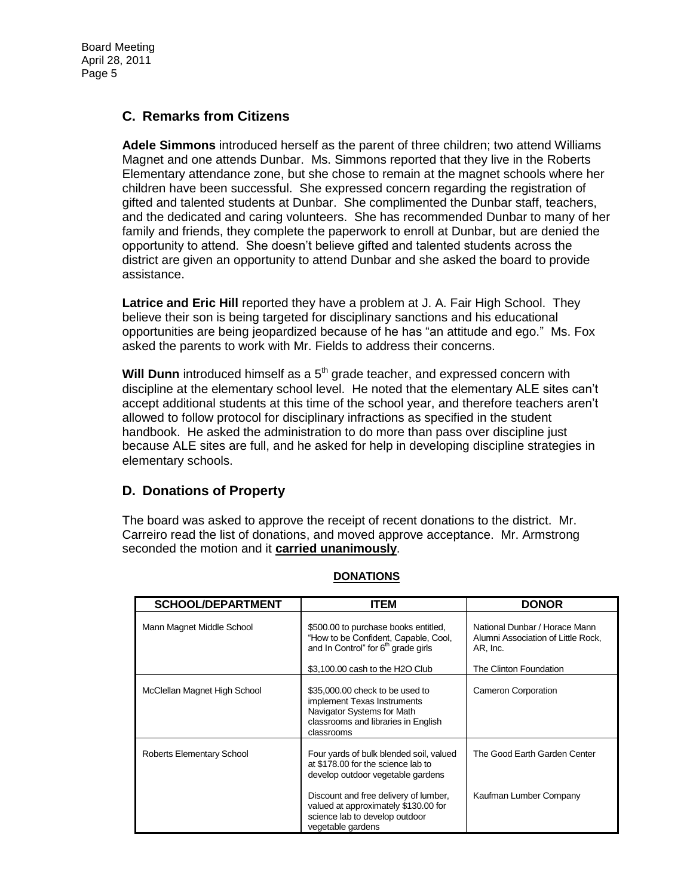# **C. Remarks from Citizens**

**Adele Simmons** introduced herself as the parent of three children; two attend Williams Magnet and one attends Dunbar. Ms. Simmons reported that they live in the Roberts Elementary attendance zone, but she chose to remain at the magnet schools where her children have been successful. She expressed concern regarding the registration of gifted and talented students at Dunbar. She complimented the Dunbar staff, teachers, and the dedicated and caring volunteers. She has recommended Dunbar to many of her family and friends, they complete the paperwork to enroll at Dunbar, but are denied the opportunity to attend. She doesn't believe gifted and talented students across the district are given an opportunity to attend Dunbar and she asked the board to provide assistance.

**Latrice and Eric Hill** reported they have a problem at J. A. Fair High School. They believe their son is being targeted for disciplinary sanctions and his educational opportunities are being jeopardized because of he has "an attitude and ego." Ms. Fox asked the parents to work with Mr. Fields to address their concerns.

**Will Dunn** introduced himself as a 5<sup>th</sup> grade teacher, and expressed concern with discipline at the elementary school level. He noted that the elementary ALE sites can't accept additional students at this time of the school year, and therefore teachers aren't allowed to follow protocol for disciplinary infractions as specified in the student handbook. He asked the administration to do more than pass over discipline just because ALE sites are full, and he asked for help in developing discipline strategies in elementary schools.

# **D. Donations of Property**

The board was asked to approve the receipt of recent donations to the district. Mr. Carreiro read the list of donations, and moved approve acceptance. Mr. Armstrong seconded the motion and it **carried unanimously**.

| <b>SCHOOL/DEPARTMENT</b>     | ITEM                                                                                                                                              | <b>DONOR</b>                                                                    |
|------------------------------|---------------------------------------------------------------------------------------------------------------------------------------------------|---------------------------------------------------------------------------------|
|                              |                                                                                                                                                   |                                                                                 |
| Mann Magnet Middle School    | \$500.00 to purchase books entitled,<br>"How to be Confident, Capable, Cool,<br>and In Control" for 6 <sup>th</sup> grade girls                   | National Dunbar / Horace Mann<br>Alumni Association of Little Rock,<br>AR, Inc. |
|                              | \$3,100.00 cash to the H2O Club                                                                                                                   | The Clinton Foundation                                                          |
| McClellan Magnet High School | \$35,000.00 check to be used to<br>implement Texas Instruments<br>Navigator Systems for Math<br>classrooms and libraries in English<br>classrooms | Cameron Corporation                                                             |
| Roberts Elementary School    | Four yards of bulk blended soil, valued<br>at \$178.00 for the science lab to<br>develop outdoor vegetable gardens                                | The Good Earth Garden Center                                                    |
|                              | Discount and free delivery of lumber,<br>valued at approximately \$130.00 for<br>science lab to develop outdoor<br>vegetable gardens              | Kaufman Lumber Company                                                          |

#### **DONATIONS**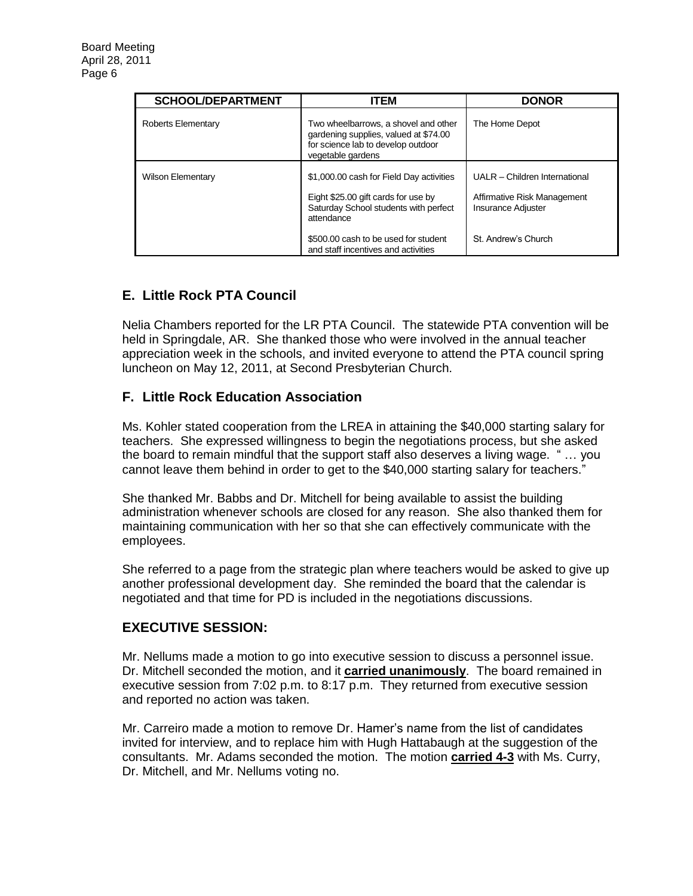| <b>SCHOOL/DEPARTMENT</b> | <b>ITEM</b>                                                                                                                              | <b>DONOR</b>                                                                              |
|--------------------------|------------------------------------------------------------------------------------------------------------------------------------------|-------------------------------------------------------------------------------------------|
| Roberts Elementary       | Two wheelbarrows, a shovel and other<br>gardening supplies, valued at \$74.00<br>for science lab to develop outdoor<br>vegetable gardens | The Home Depot                                                                            |
| <b>Wilson Elementary</b> | \$1,000.00 cash for Field Day activities<br>Eight \$25.00 gift cards for use by<br>Saturday School students with perfect<br>attendance   | UALR - Children International<br>Affirmative Risk Management<br><b>Insurance Adjuster</b> |
|                          | \$500.00 cash to be used for student<br>and staff incentives and activities                                                              | St. Andrew's Church                                                                       |

# **E. Little Rock PTA Council**

Nelia Chambers reported for the LR PTA Council. The statewide PTA convention will be held in Springdale, AR. She thanked those who were involved in the annual teacher appreciation week in the schools, and invited everyone to attend the PTA council spring luncheon on May 12, 2011, at Second Presbyterian Church.

# **F. Little Rock Education Association**

Ms. Kohler stated cooperation from the LREA in attaining the \$40,000 starting salary for teachers. She expressed willingness to begin the negotiations process, but she asked the board to remain mindful that the support staff also deserves a living wage. " … you cannot leave them behind in order to get to the \$40,000 starting salary for teachers."

She thanked Mr. Babbs and Dr. Mitchell for being available to assist the building administration whenever schools are closed for any reason. She also thanked them for maintaining communication with her so that she can effectively communicate with the employees.

She referred to a page from the strategic plan where teachers would be asked to give up another professional development day. She reminded the board that the calendar is negotiated and that time for PD is included in the negotiations discussions.

# **EXECUTIVE SESSION:**

Mr. Nellums made a motion to go into executive session to discuss a personnel issue. Dr. Mitchell seconded the motion, and it **carried unanimously**. The board remained in executive session from 7:02 p.m. to 8:17 p.m. They returned from executive session and reported no action was taken.

Mr. Carreiro made a motion to remove Dr. Hamer's name from the list of candidates invited for interview, and to replace him with Hugh Hattabaugh at the suggestion of the consultants. Mr. Adams seconded the motion. The motion **carried 4-3** with Ms. Curry, Dr. Mitchell, and Mr. Nellums voting no.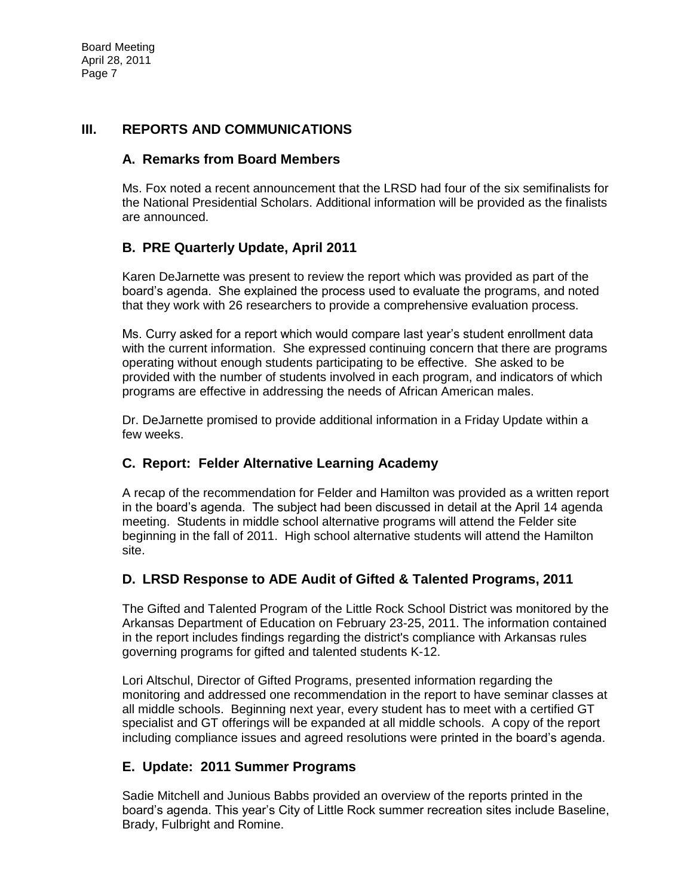# **III. REPORTS AND COMMUNICATIONS**

# **A. Remarks from Board Members**

Ms. Fox noted a recent announcement that the LRSD had four of the six semifinalists for the National Presidential Scholars. Additional information will be provided as the finalists are announced.

# **B. PRE Quarterly Update, April 2011**

Karen DeJarnette was present to review the report which was provided as part of the board's agenda. She explained the process used to evaluate the programs, and noted that they work with 26 researchers to provide a comprehensive evaluation process.

Ms. Curry asked for a report which would compare last year's student enrollment data with the current information. She expressed continuing concern that there are programs operating without enough students participating to be effective. She asked to be provided with the number of students involved in each program, and indicators of which programs are effective in addressing the needs of African American males.

Dr. DeJarnette promised to provide additional information in a Friday Update within a few weeks.

# **C. Report: Felder Alternative Learning Academy**

A recap of the recommendation for Felder and Hamilton was provided as a written report in the board's agenda. The subject had been discussed in detail at the April 14 agenda meeting. Students in middle school alternative programs will attend the Felder site beginning in the fall of 2011. High school alternative students will attend the Hamilton site.

# **D. LRSD Response to ADE Audit of Gifted & Talented Programs, 2011**

The Gifted and Talented Program of the Little Rock School District was monitored by the Arkansas Department of Education on February 23-25, 2011. The information contained in the report includes findings regarding the district's compliance with Arkansas rules governing programs for gifted and talented students K-12.

Lori Altschul, Director of Gifted Programs, presented information regarding the monitoring and addressed one recommendation in the report to have seminar classes at all middle schools. Beginning next year, every student has to meet with a certified GT specialist and GT offerings will be expanded at all middle schools. A copy of the report including compliance issues and agreed resolutions were printed in the board's agenda.

# **E. Update: 2011 Summer Programs**

Sadie Mitchell and Junious Babbs provided an overview of the reports printed in the board's agenda. This year's City of Little Rock summer recreation sites include Baseline, Brady, Fulbright and Romine.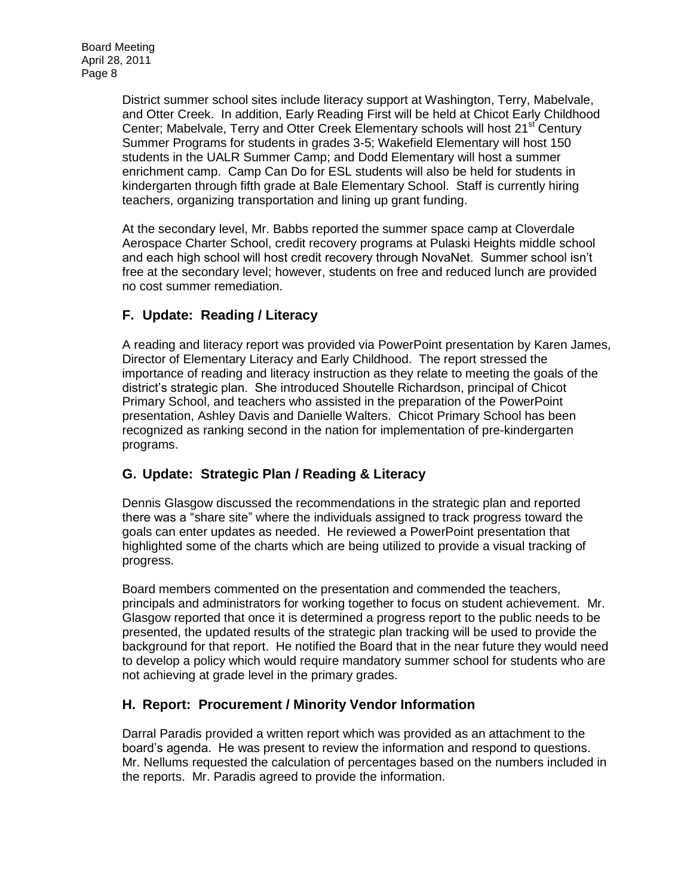District summer school sites include literacy support at Washington, Terry, Mabelvale, and Otter Creek. In addition, Early Reading First will be held at Chicot Early Childhood Center; Mabelvale, Terry and Otter Creek Elementary schools will host 21<sup>st</sup> Century Summer Programs for students in grades 3-5; Wakefield Elementary will host 150 students in the UALR Summer Camp; and Dodd Elementary will host a summer enrichment camp. Camp Can Do for ESL students will also be held for students in kindergarten through fifth grade at Bale Elementary School. Staff is currently hiring teachers, organizing transportation and lining up grant funding.

At the secondary level, Mr. Babbs reported the summer space camp at Cloverdale Aerospace Charter School, credit recovery programs at Pulaski Heights middle school and each high school will host credit recovery through NovaNet. Summer school isn't free at the secondary level; however, students on free and reduced lunch are provided no cost summer remediation.

# **F. Update: Reading / Literacy**

A reading and literacy report was provided via PowerPoint presentation by Karen James, Director of Elementary Literacy and Early Childhood. The report stressed the importance of reading and literacy instruction as they relate to meeting the goals of the district's strategic plan. She introduced Shoutelle Richardson, principal of Chicot Primary School, and teachers who assisted in the preparation of the PowerPoint presentation, Ashley Davis and Danielle Walters. Chicot Primary School has been recognized as ranking second in the nation for implementation of pre-kindergarten programs.

# **G. Update: Strategic Plan / Reading & Literacy**

Dennis Glasgow discussed the recommendations in the strategic plan and reported there was a "share site" where the individuals assigned to track progress toward the goals can enter updates as needed. He reviewed a PowerPoint presentation that highlighted some of the charts which are being utilized to provide a visual tracking of progress.

Board members commented on the presentation and commended the teachers, principals and administrators for working together to focus on student achievement. Mr. Glasgow reported that once it is determined a progress report to the public needs to be presented, the updated results of the strategic plan tracking will be used to provide the background for that report. He notified the Board that in the near future they would need to develop a policy which would require mandatory summer school for students who are not achieving at grade level in the primary grades.

# **H. Report: Procurement / Minority Vendor Information**

Darral Paradis provided a written report which was provided as an attachment to the board's agenda. He was present to review the information and respond to questions. Mr. Nellums requested the calculation of percentages based on the numbers included in the reports. Mr. Paradis agreed to provide the information.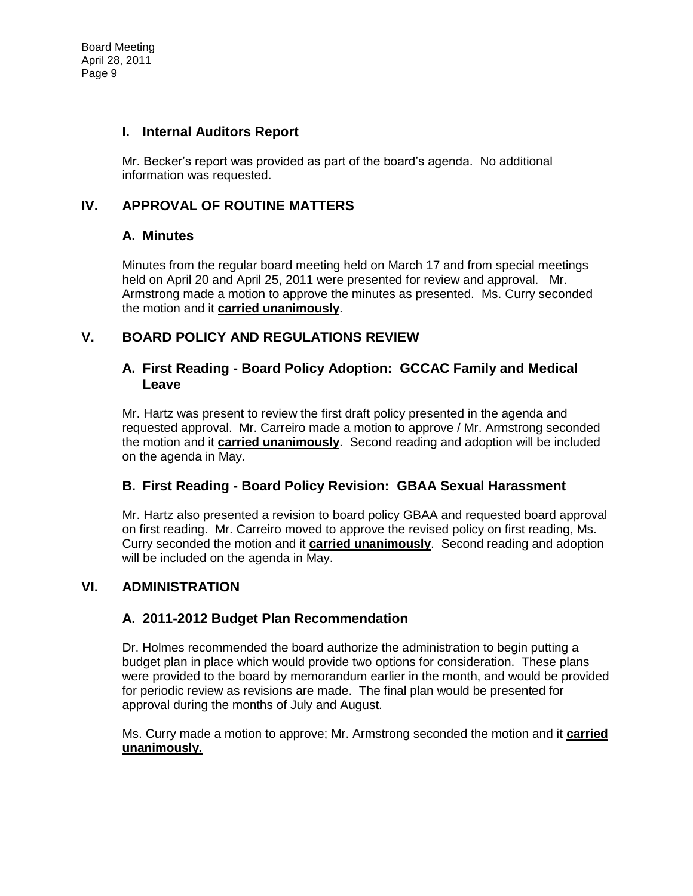#### **I. Internal Auditors Report**

Mr. Becker's report was provided as part of the board's agenda. No additional information was requested.

# **IV. APPROVAL OF ROUTINE MATTERS**

# **A. Minutes**

Minutes from the regular board meeting held on March 17 and from special meetings held on April 20 and April 25, 2011 were presented for review and approval. Mr. Armstrong made a motion to approve the minutes as presented. Ms. Curry seconded the motion and it **carried unanimously**.

# **V. BOARD POLICY AND REGULATIONS REVIEW**

#### **A. First Reading - Board Policy Adoption: GCCAC Family and Medical Leave**

Mr. Hartz was present to review the first draft policy presented in the agenda and requested approval. Mr. Carreiro made a motion to approve / Mr. Armstrong seconded the motion and it **carried unanimously**. Second reading and adoption will be included on the agenda in May.

# **B. First Reading - Board Policy Revision: GBAA Sexual Harassment**

Mr. Hartz also presented a revision to board policy GBAA and requested board approval on first reading. Mr. Carreiro moved to approve the revised policy on first reading, Ms. Curry seconded the motion and it **carried unanimously**. Second reading and adoption will be included on the agenda in May.

# **VI. ADMINISTRATION**

# **A. 2011-2012 Budget Plan Recommendation**

Dr. Holmes recommended the board authorize the administration to begin putting a budget plan in place which would provide two options for consideration. These plans were provided to the board by memorandum earlier in the month, and would be provided for periodic review as revisions are made. The final plan would be presented for approval during the months of July and August.

Ms. Curry made a motion to approve; Mr. Armstrong seconded the motion and it **carried unanimously.**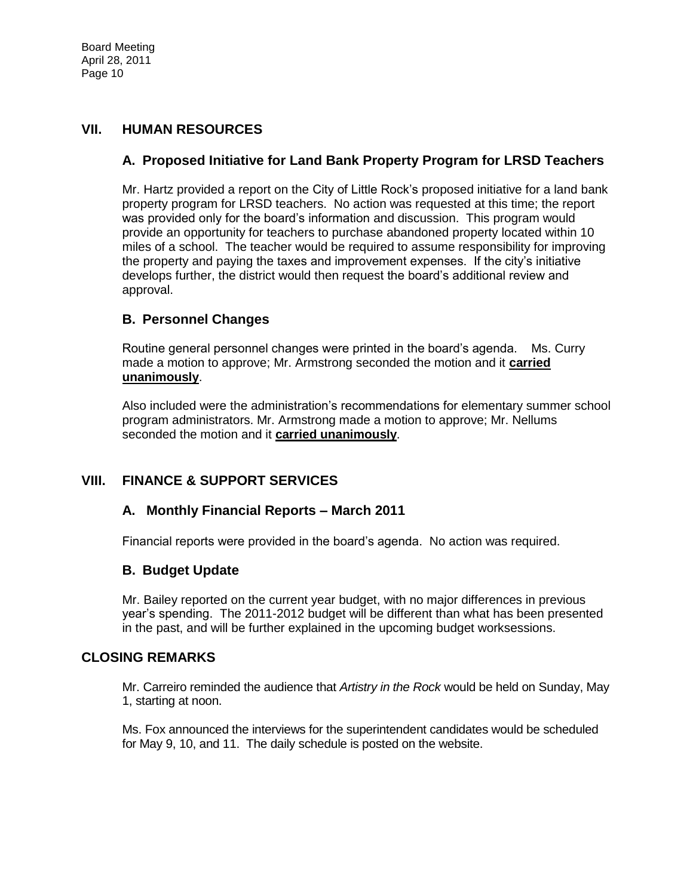# **VII. HUMAN RESOURCES**

# **A. Proposed Initiative for Land Bank Property Program for LRSD Teachers**

Mr. Hartz provided a report on the City of Little Rock's proposed initiative for a land bank property program for LRSD teachers. No action was requested at this time; the report was provided only for the board's information and discussion. This program would provide an opportunity for teachers to purchase abandoned property located within 10 miles of a school. The teacher would be required to assume responsibility for improving the property and paying the taxes and improvement expenses. If the city's initiative develops further, the district would then request the board's additional review and approval.

# **B. Personnel Changes**

Routine general personnel changes were printed in the board's agenda. Ms. Curry made a motion to approve; Mr. Armstrong seconded the motion and it **carried unanimously**.

Also included were the administration's recommendations for elementary summer school program administrators. Mr. Armstrong made a motion to approve; Mr. Nellums seconded the motion and it **carried unanimously**.

# **VIII. FINANCE & SUPPORT SERVICES**

# **A. Monthly Financial Reports – March 2011**

Financial reports were provided in the board's agenda. No action was required.

# **B. Budget Update**

Mr. Bailey reported on the current year budget, with no major differences in previous year's spending. The 2011-2012 budget will be different than what has been presented in the past, and will be further explained in the upcoming budget worksessions.

#### **CLOSING REMARKS**

Mr. Carreiro reminded the audience that *Artistry in the Rock* would be held on Sunday, May 1, starting at noon.

Ms. Fox announced the interviews for the superintendent candidates would be scheduled for May 9, 10, and 11. The daily schedule is posted on the website.